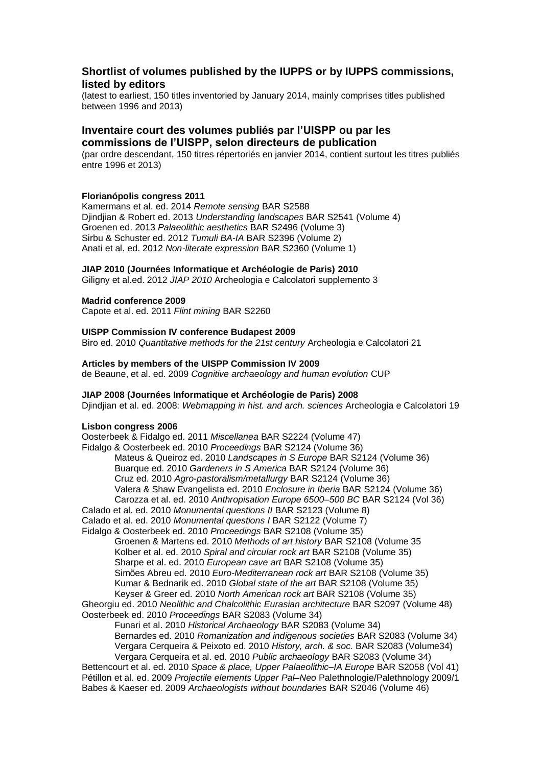# **Shortlist of volumes published by the IUPPS or by IUPPS commissions, listed by editors**

(latest to earliest, 150 titles inventoried by January 2014, mainly comprises titles published between 1996 and 2013)

# **Inventaire court des volumes publiés par l'UISPP ou par les commissions de l'UISPP, selon directeurs de publication**

(par ordre descendant, 150 titres répertoriés en janvier 2014, contient surtout les titres publiés entre 1996 et 2013)

#### **Florianópolis congress 2011**

Kamermans et al. ed. 2014 *Remote sensing* BAR S2588 Djindjian & Robert ed. 2013 *Understanding landscapes* BAR S2541 (Volume 4) Groenen ed. 2013 *Palaeolithic aesthetics* BAR S2496 (Volume 3) Sirbu & Schuster ed. 2012 *Tumuli BA-IA* BAR S2396 (Volume 2) Anati et al. ed. 2012 *Non-literate expression* BAR S2360 (Volume 1)

## **JIAP 2010 (Journées Informatique et Archéologie de Paris) 2010**

Giligny et al.ed. 2012 *JIAP 2010* Archeologia e Calcolatori supplemento 3

#### **Madrid conference 2009**

Capote et al. ed. 2011 *Flint mining* BAR S2260

#### **UISPP Commission IV conference Budapest 2009**

Biro ed. 2010 *Quantitative methods for the 21st century* Archeologia e Calcolatori 21

## **Articles by members of the UISPP Commission IV 2009**

de Beaune, et al. ed. 2009 *Cognitive archaeology and human evolution* CUP

#### **JIAP 2008 (Journées Informatique et Archéologie de Paris) 2008**

Djindjian et al. ed. 2008: *Webmapping in hist. and arch. sciences* Archeologia e Calcolatori 19

#### **Lisbon congress 2006**

Oosterbeek & Fidalgo ed. 2011 *Miscellanea* BAR S2224 (Volume 47) Fidalgo & Oosterbeek ed. 2010 *Proceedings* BAR S2124 (Volume 36) Mateus & Queiroz ed. 2010 *Landscapes in S Europe* BAR S2124 (Volume 36) Buarque ed. 2010 *Gardeners in S America* BAR S2124 (Volume 36) Cruz ed. 2010 *Agro-pastoralism/metallurgy* BAR S2124 (Volume 36) Valera & Shaw Evangelista ed. 2010 *Enclosure in Iberia* BAR S2124 (Volume 36) Carozza et al. ed. 2010 *Anthropisation Europe 6500–500 BC* BAR S2124 (Vol 36) Calado et al. ed. 2010 *Monumental questions II* BAR S2123 (Volume 8) Calado et al. ed. 2010 *Monumental questions I* BAR S2122 (Volume 7) Fidalgo & Oosterbeek ed. 2010 *Proceedings* BAR S2108 (Volume 35) Groenen & Martens ed. 2010 *Methods of art history* BAR S2108 (Volume 35 Kolber et al. ed. 2010 *Spiral and circular rock art* BAR S2108 (Volume 35) Sharpe et al. ed. 2010 *European cave art* BAR S2108 (Volume 35) Simões Abreu ed. 2010 *Euro-Mediterranean rock art* BAR S2108 (Volume 35) Kumar & Bednarik ed. 2010 *Global state of the art* BAR S2108 (Volume 35) Keyser & Greer ed. 2010 *North American rock art* BAR S2108 (Volume 35) Gheorgiu ed. 2010 *Neolithic and Chalcolithic Eurasian architecture* BAR S2097 (Volume 48) Oosterbeek ed. 2010 *Proceedings* BAR S2083 (Volume 34) Funari et al. 2010 *Historical Archaeology* BAR S2083 (Volume 34) Bernardes ed. 2010 *Romanization and indigenous societies* BAR S2083 (Volume 34)

Vergara Cerqueira & Peixoto ed. 2010 *History, arch. & soc.* BAR S2083 (Volume34) Vergara Cerqueira et al. ed. 2010 *Public archaeology* BAR S2083 (Volume 34) Bettencourt et al. ed. 2010 *Space & place, Upper Palaeolithic–IA Europe* BAR S2058 (Vol 41)

Pétillon et al. ed. 2009 *Projectile elements Upper Pal–Neo* Palethnologie/Palethnology 2009/1 Babes & Kaeser ed. 2009 *Archaeologists without boundaries* BAR S2046 (Volume 46)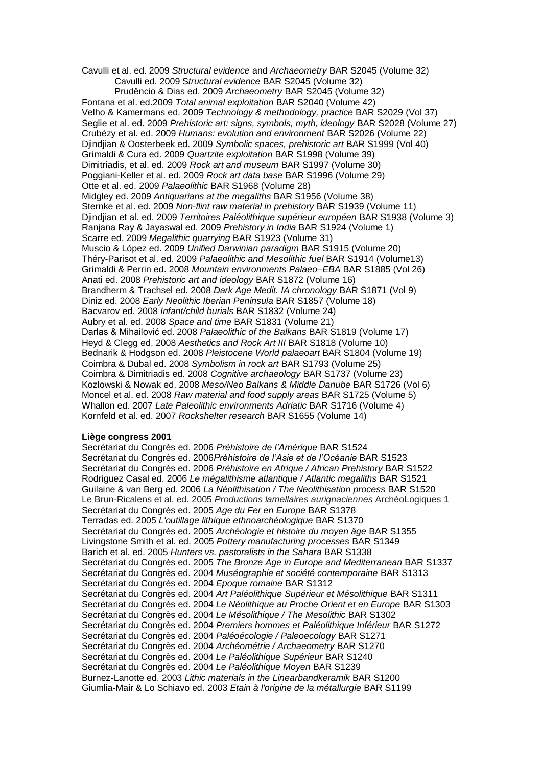Cavulli et al. ed. 2009 *Structural evidence* and *Archaeometry* BAR S2045 (Volume 32) Cavulli ed. 2009 S*tructural evidence* BAR S2045 (Volume 32) Prudêncio & Dias ed. 2009 *Archaeometry* BAR S2045 (Volume 32) Fontana et al. ed.2009 *Total animal exploitation* BAR S2040 (Volume 42) Velho & Kamermans ed. 2009 *Technology & methodology, practice* BAR S2029 (Vol 37) Seglie et al. ed. 2009 *Prehistoric art: signs, symbols, myth, ideology* BAR S2028 (Volume 27) Crubézy et al. ed. 2009 *Humans: evolution and environment* BAR S2026 (Volume 22) Djindjian & Oosterbeek ed. 2009 *Symbolic spaces, prehistoric art* BAR S1999 (Vol 40) Grimaldi & Cura ed. 2009 *Quartzite exploitation* BAR S1998 (Volume 39) Dimitriadis, et al. ed. 2009 *Rock art and museum* BAR S1997 (Volume 30) Poggiani-Keller et al. ed. 2009 *Rock art data base* BAR S1996 (Volume 29) Otte et al. ed. 2009 *Palaeolithic* BAR S1968 (Volume 28) Midgley ed. 2009 *Antiquarians at the megaliths* BAR S1956 (Volume 38) Sternke et al. ed. 2009 *Non-flint raw material in prehistory* BAR S1939 (Volume 11) Djindjian et al. ed. 2009 *Territoires Paléolithique supérieur européen* BAR S1938 (Volume 3) Ranjana Ray & Jayaswal ed. 2009 *Prehistory in India* BAR S1924 (Volume 1) Scarre ed. 2009 *Megalithic quarrying* BAR S1923 (Volume 31) Muscio & López ed. 2009 *Unified Darwinian paradigm* BAR S1915 (Volume 20) Théry-Parisot et al. ed. 2009 *Palaeolithic and Mesolithic fuel* BAR S1914 (Volume13) Grimaldi & Perrin ed. 2008 *Mountain environments Palaeo–EBA* BAR S1885 (Vol 26) Anati ed. 2008 *Prehistoric art and ideology* BAR S1872 (Volume 16) Brandherm & Trachsel ed. 2008 *Dark Age Medit. IA chronology* BAR S1871 (Vol 9) Diniz ed. 2008 *Early Neolithic Iberian Peninsula* BAR S1857 (Volume 18) Bacvarov ed. 2008 *Infant/child burials* BAR S1832 (Volume 24) Aubry et al. ed. 2008 *Space and time* BAR S1831 (Volume 21) Darlas & Mihailović ed. 2008 *Palaeolithic of the Balkans* BAR S1819 (Volume 17) Heyd & Clegg ed. 2008 *Aesthetics and Rock Art III* BAR S1818 (Volume 10) Bednarik & Hodgson ed. 2008 *Pleistocene World palaeoart* BAR S1804 (Volume 19) Coimbra & Dubal ed. 2008 *Symbolism in rock art* BAR S1793 (Volume 25) Coimbra & Dimitriadis ed. 2008 *Cognitive archaeology* BAR S1737 (Volume 23) Kozlowski & Nowak ed. 2008 *Meso/Neo Balkans & Middle Danube* BAR S1726 (Vol 6) Moncel et al. ed. 2008 *Raw material and food supply areas* BAR S1725 (Volume 5) Whallon ed. 2007 *Late Paleolithic environments Adriatic* BAR S1716 (Volume 4) Kornfeld et al. ed. 2007 *Rockshelter research* BAR S1655 (Volume 14)

#### **Liège congress 2001**

Secrétariat du Congrès ed. 2006 *Préhistoire de l'Amérique* BAR S1524 Secrétariat du Congrès ed. 2006*Préhistoire de l'Asie et de l'Océanie* BAR S1523 Secrétariat du Congrès ed. 2006 *Préhistoire en Afrique / African Prehistory* BAR S1522 Rodriguez Casal ed. 2006 *Le mégalithisme atlantique / Atlantic megaliths* BAR S1521 Guilaine & van Berg ed. 2006 *La Néolithisation / The Neolithisation process* BAR S1520 Le Brun-Ricalens et al. ed. 2005 *Productions lamellaires aurignaciennes* ArchéoLogiques 1 Secrétariat du Congrès ed. 2005 *Age du Fer en Europe* BAR S1378 Terradas ed. 2005 *L'outillage lithique ethnoarchéologique* BAR S1370 Secrétariat du Congrès ed. 2005 *Archéologie et histoire du moyen âge* BAR S1355 Livingstone Smith et al. ed. 2005 *Pottery manufacturing processes* BAR S1349 Barich et al. ed. 2005 *Hunters vs. pastoralists in the Sahara* BAR S1338 Secrétariat du Congrès ed. 2005 *The Bronze Age in Europe and Mediterranean* BAR S1337 Secrétariat du Congrès ed. 2004 *Muséographie et société contemporaine* BAR S1313 Secrétariat du Congrès ed. 2004 *Epoque romaine* BAR S1312 Secrétariat du Congrès ed. 2004 *Art Paléolithique Supérieur et Mésolithique* BAR S1311 Secrétariat du Congrès ed. 2004 *Le Néolithique au Proche Orient et en Europe* BAR S1303 Secrétariat du Congrès ed. 2004 *Le Mésolithique / The Mesolithic* BAR S1302 Secrétariat du Congrès ed. 2004 *Premiers hommes et Paléolithique Inférieur* BAR S1272 Secrétariat du Congrès ed. 2004 *Paléoécologie / Paleoecology* BAR S1271 Secrétariat du Congrès ed. 2004 *Archéométrie / Archaeometry* BAR S1270 Secrétariat du Congrès ed. 2004 *Le Paléolithique Supérieur* BAR S1240 Secrétariat du Congrès ed. 2004 *Le Paléolithique Moyen* BAR S1239 Burnez-Lanotte ed. 2003 *Lithic materials in the Linearbandkeramik* BAR S1200 Giumlia-Mair & Lo Schiavo ed. 2003 *Etain à l'origine de la métallurgie* BAR S1199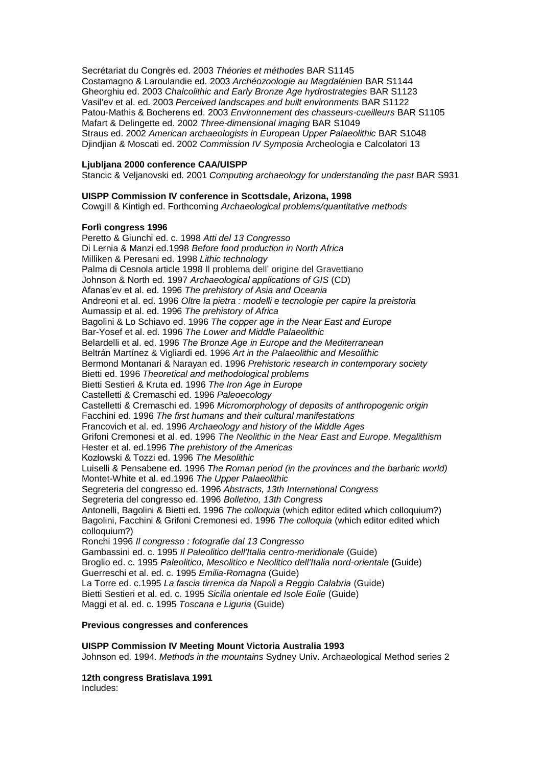Secrétariat du Congrès ed. 2003 *Théories et méthodes* BAR S1145 Costamagno & Laroulandie ed. 2003 *Archéozoologie au Magdalénien* BAR S1144 Gheorghiu ed. 2003 *Chalcolithic and Early Bronze Age hydrostrategies* BAR S1123 Vasil'ev et al. ed. 2003 *Perceived landscapes and built environments* BAR S1122 Patou-Mathis & Bocherens ed. 2003 *Environnement des chasseurs-cueilleurs* BAR S1105 Mafart & Delingette ed. 2002 *Three-dimensional imaging* BAR S1049 Straus ed. 2002 *American archaeologists in European Upper Palaeolithic* BAR S1048 Djindjian & Moscati ed. 2002 *Commission IV Symposia* Archeologia e Calcolatori 13

#### **Ljubljana 2000 conference CAA/UISPP**

Stancic & Veljanovski ed. 2001 *Computing archaeology for understanding the past* BAR S931

## **UISPP Commission IV conference in Scottsdale, Arizona, 1998**

Cowgill & Kintigh ed. Forthcoming *Archaeological problems/quantitative methods*

#### **Forlì congress 1996**

Peretto & Giunchi ed. c. 1998 *Atti del 13 Congresso* Di Lernia & Manzi ed.1998 *Before food production in North Africa* Milliken & Peresani ed. 1998 *Lithic technology* Palma di Cesnola article 1998 Il problema dell' origine del Gravettiano Johnson & North ed. 1997 *Archaeological applications of GIS* (CD) Afanas'ev et al. ed. 1996 *The prehistory of Asia and Oceania* Andreoni et al. ed. 1996 *Oltre la pietra : modelli e tecnologie per capire la preistoria* Aumassip et al. ed. 1996 *The prehistory of Africa* Bagolini & Lo Schiavo ed. 1996 *The copper age in the Near East and Europe* Bar-Yosef et al. ed. 1996 *The Lower and Middle Palaeolithic* Belardelli et al. ed. 1996 *The Bronze Age in Europe and the Mediterranean* Beltrán Martínez & Vigliardi ed. 1996 *Art in the Palaeolithic and Mesolithic* Bermond Montanari & Narayan ed. 1996 *Prehistoric research in contemporary society* Bietti ed. 1996 *Theoretical and methodological problems* Bietti Sestieri & Kruta ed. 1996 *The Iron Age in Europe* Castelletti & Cremaschi ed. 1996 *Paleoecology* Castelletti & Cremaschi ed. 1996 *Micromorphology of deposits of anthropogenic origin* Facchini ed. 1996 *The first humans and their cultural manifestations* Francovich et al. ed. 1996 *Archaeology and history of the Middle Ages* Grifoni Cremonesi et al. ed. 1996 *The Neolithic in the Near East and Europe. Megalithism* Hester et al. ed.1996 *The prehistory of the Americas* Kozłowski & Tozzi ed. 1996 *The Mesolithic* Luiselli & Pensabene ed. 1996 *The Roman period (in the provinces and the barbaric world)* Montet-White et al. ed.1996 *The Upper Palaeolithic* Segreteria del congresso ed. 1996 *Abstracts, 13th International Congress* Segreteria del congresso ed. 1996 *Bolletino, 13th Congress* Antonelli, Bagolini & Bietti ed. 1996 *The colloquia* (which editor edited which colloquium?) Bagolini, Facchini & Grifoni Cremonesi ed. 1996 *The colloquia* (which editor edited which colloquium?) Ronchi 1996 *Il congresso : fotografie dal 13 Congresso* Gambassini ed. c. 1995 *Il Paleolitico dell'Italia centro-meridionale* (Guide) Broglio ed. c. 1995 *Paleolitico, Mesolitico e Neolitico dell'Italia nord-orientale* **(**Guide) Guerreschi et al. ed. c. 1995 *Emilia-Romagna* (Guide) La Torre ed. c.1995 *La fascia tirrenica da Napoli a Reggio Calabria* (Guide) Bietti Sestieri et al. ed. c. 1995 *Sicilia orientale ed Isole Eolie* (Guide) Maggi et al. ed. c. 1995 *Toscana e Liguria* (Guide)

## **Previous congresses and conferences**

**UISPP Commission IV Meeting Mount Victoria Australia 1993** Johnson ed. 1994. *Methods in the mountains* Sydney Univ. Archaeological Method series 2

# **12th congress Bratislava 1991**

Includes: